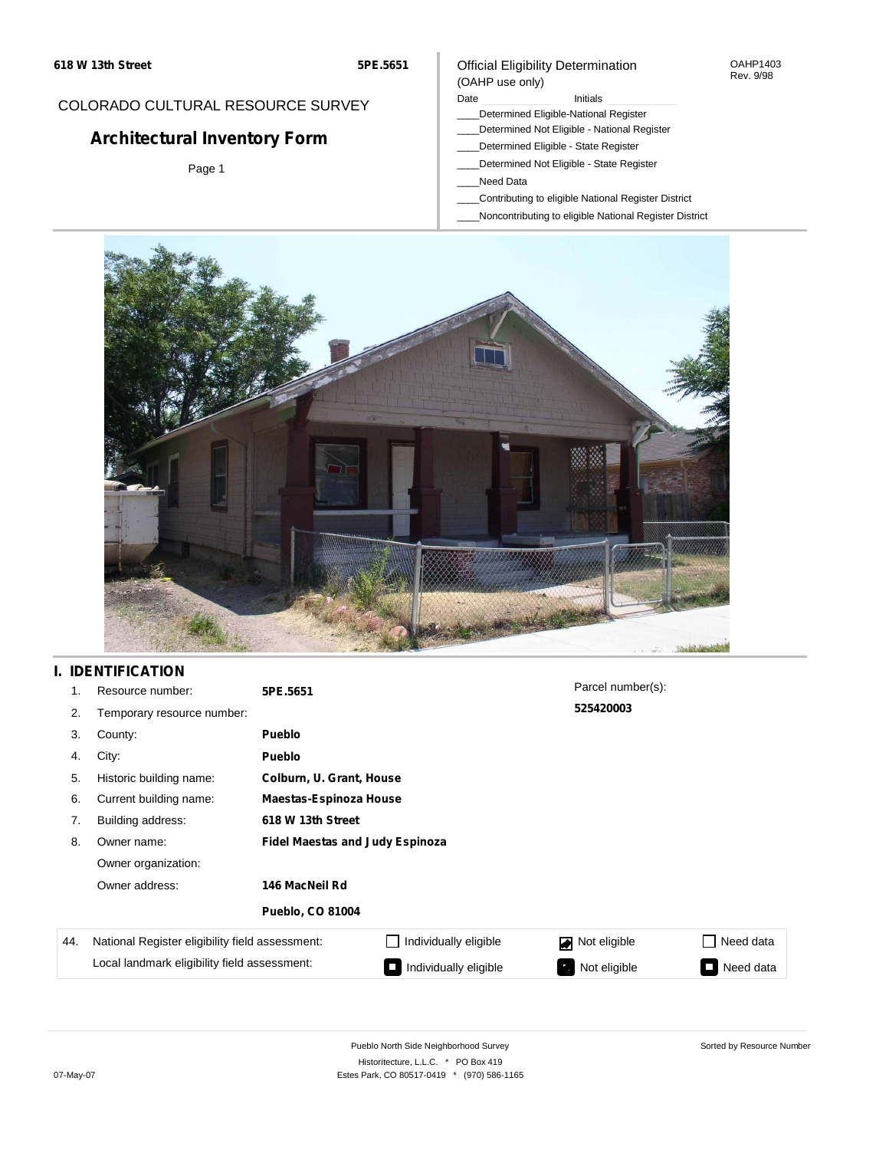#### OAHP1403 Rev. 9/98

### COLORADO CULTURAL RESOURCE SURVEY

# **Architectural Inventory Form**

Page 1

#### (OAHP use only) Date **Initials** Initials

\_\_\_\_Determined Eligible-National Register

Official Eligibility Determination

- \_\_\_\_Determined Not Eligible National Register
- \_\_\_\_Determined Eligible State Register
- \_\_\_\_Determined Not Eligible State Register
- \_\_\_\_Need Data
- \_\_\_\_Contributing to eligible National Register District
- \_\_\_\_Noncontributing to eligible National Register District



## **I. IDENTIFICATION**

| 1.  | Resource number:                                | 5PE.5651                               |                       | Parcel number(s): |           |  |  |
|-----|-------------------------------------------------|----------------------------------------|-----------------------|-------------------|-----------|--|--|
| 2.  | Temporary resource number:                      |                                        |                       |                   |           |  |  |
| 3.  | County:                                         | <b>Pueblo</b>                          |                       |                   |           |  |  |
| 4.  | City:                                           | <b>Pueblo</b>                          |                       |                   |           |  |  |
| 5.  | Historic building name:                         | Colburn, U. Grant, House               |                       |                   |           |  |  |
| 6.  | Current building name:                          | <b>Maestas-Espinoza House</b>          |                       |                   |           |  |  |
| 7.  | Building address:                               | 618 W 13th Street                      |                       |                   |           |  |  |
| 8.  | Owner name:                                     | <b>Fidel Maestas and Judy Espinoza</b> |                       |                   |           |  |  |
|     | Owner organization:                             |                                        |                       |                   |           |  |  |
|     | Owner address:                                  | 146 MacNeil Rd                         |                       |                   |           |  |  |
|     |                                                 | <b>Pueblo, CO 81004</b>                |                       |                   |           |  |  |
| 44. | National Register eligibility field assessment: |                                        | Individually eligible | Not eligible      | Need data |  |  |
|     | Local landmark eligibility field assessment:    |                                        | Individually eligible | Not eligible      | Need data |  |  |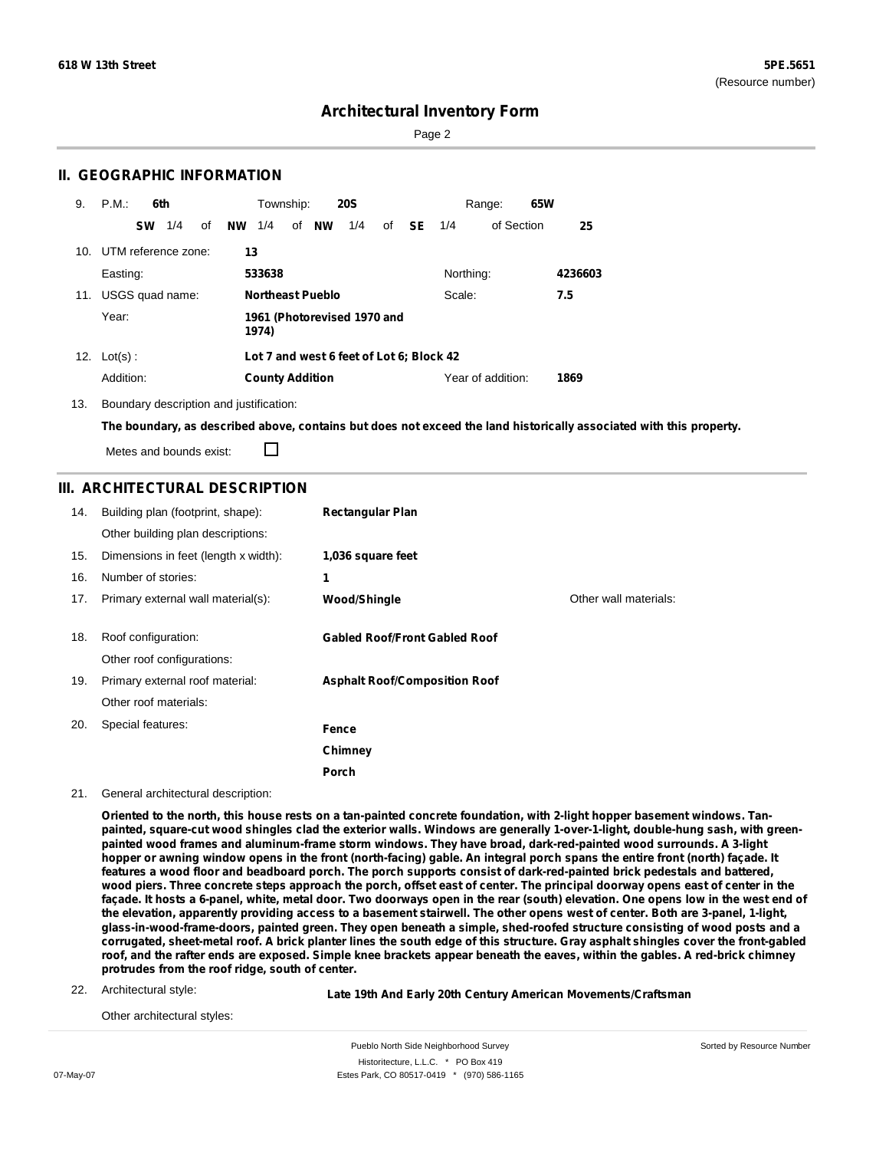Page 2

### **II. GEOGRAPHIC INFORMATION**

| 9.  | P.M.:               | 6th |    |           | Township:              |                         | <b>20S</b>                               |    |           |           | Range:            | 65W |         |
|-----|---------------------|-----|----|-----------|------------------------|-------------------------|------------------------------------------|----|-----------|-----------|-------------------|-----|---------|
|     | <b>SW</b>           | 1/4 | οf | <b>NW</b> | 1/4                    | of <b>NW</b>            | 1/4                                      | of | <b>SE</b> | 1/4       | of Section        |     | 25      |
| 10. | UTM reference zone: |     |    | 13        |                        |                         |                                          |    |           |           |                   |     |         |
|     | Easting:            |     |    |           | 533638                 |                         |                                          |    |           | Northing: |                   |     | 4236603 |
| 11. | USGS quad name:     |     |    |           |                        | <b>Northeast Pueblo</b> |                                          |    |           | Scale:    |                   |     | 7.5     |
|     | Year:               |     |    |           | 1974)                  |                         | 1961 (Photorevised 1970 and              |    |           |           |                   |     |         |
|     | 12. $Lot(s)$ :      |     |    |           |                        |                         | Lot 7 and west 6 feet of Lot 6; Block 42 |    |           |           |                   |     |         |
|     | Addition:           |     |    |           | <b>County Addition</b> |                         |                                          |    |           |           | Year of addition: |     | 1869    |

13. Boundary description and justification:

The boundary, as described above, contains but does not exceed the land historically associated with this property.

Metes and bounds exist:

П

### **III. ARCHITECTURAL DESCRIPTION**

| 14. | Building plan (footprint, shape):<br>Other building plan descriptions: | <b>Rectangular Plan</b>              |                       |
|-----|------------------------------------------------------------------------|--------------------------------------|-----------------------|
| 15. | Dimensions in feet (length x width):                                   | 1,036 square feet                    |                       |
| 16. | Number of stories:                                                     | 1                                    |                       |
| 17. | Primary external wall material(s):                                     | Wood/Shingle                         | Other wall materials: |
| 18. | Roof configuration:<br>Other roof configurations:                      | <b>Gabled Roof/Front Gabled Roof</b> |                       |
| 19. | Primary external roof material:                                        | <b>Asphalt Roof/Composition Roof</b> |                       |
|     | Other roof materials:                                                  |                                      |                       |
| 20. | Special features:                                                      | Fence                                |                       |
|     |                                                                        | Chimney                              |                       |
|     |                                                                        | Porch                                |                       |

21. General architectural description:

Oriented to the north, this house rests on a tan-painted concrete foundation, with 2-light hopper basement windows. Tanpainted, square-cut wood shingles clad the exterior walls. Windows are generally 1-over-1-light, double-hung sash, with green**painted wood frames and aluminum-frame storm windows. They have broad, dark-red-painted wood surrounds. A 3-light** hopper or awning window opens in the front (north-facing) gable. An integral porch spans the entire front (north) façade. It features a wood floor and beadboard porch. The porch supports consist of dark-red-painted brick pedestals and battered, wood piers. Three concrete steps approach the porch, offset east of center. The principal doorway opens east of center in the façade. It hosts a 6-panel, white, metal door. Two doorways open in the rear (south) elevation. One opens low in the west end of the elevation, apparently providing access to a basement stairwell. The other opens west of center. Both are 3-panel, 1-light, glass-in-wood-frame-doors, painted green. They open beneath a simple, shed-roofed structure consisting of wood posts and a corrugated, sheet-metal roof. A brick planter lines the south edge of this structure. Gray asphalt shingles cover the front-gabled roof, and the rafter ends are exposed. Simple knee brackets appear beneath the eaves, within the gables. A red-brick chimney **protrudes from the roof ridge, south of center.**

22. Architectural style:

**Late 19th And Early 20th Century American Movements/Craftsman**

Other architectural styles: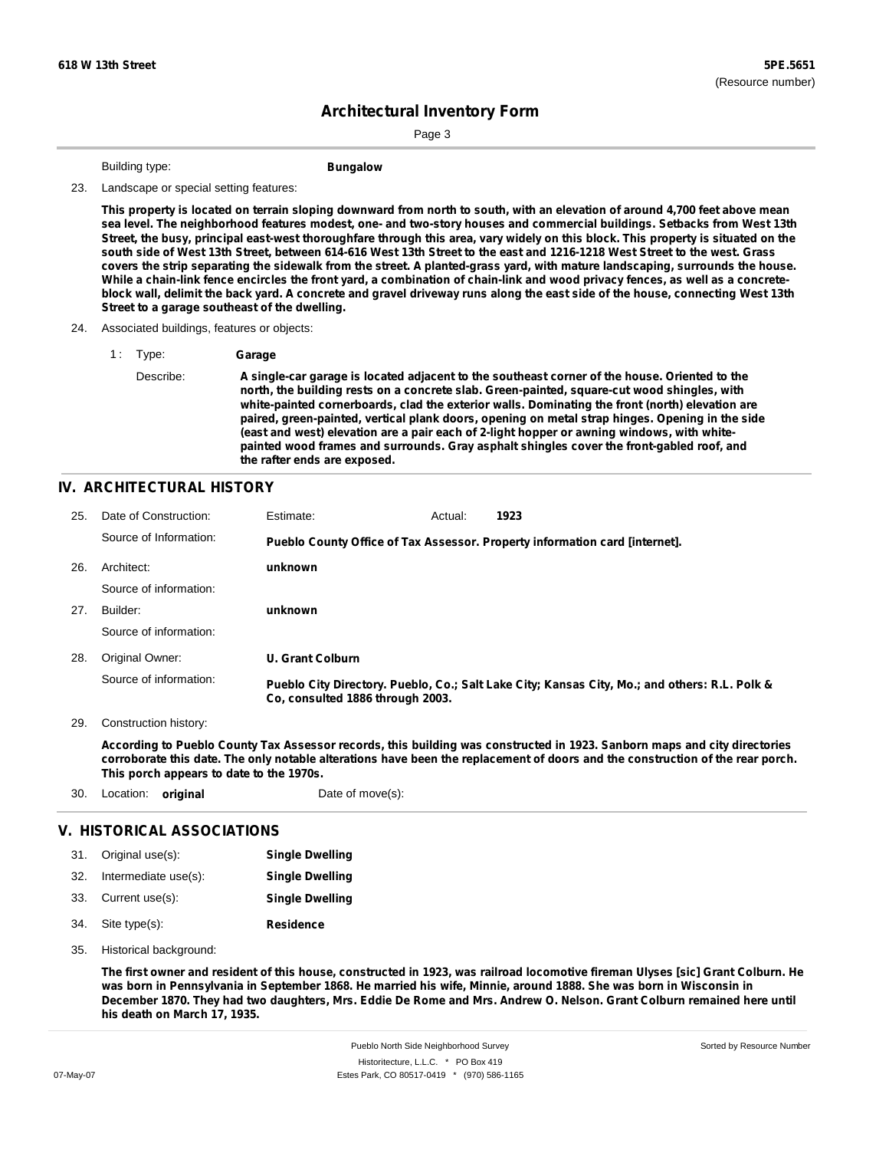Page 3

Building type: **Bungalow** 

#### 23. Landscape or special setting features:

This property is located on terrain sloping downward from north to south, with an elevation of around 4,700 feet above mean sea level. The neighborhood features modest, one- and two-story houses and commercial buildings. Setbacks from West 13th Street, the busy, principal east-west thoroughfare through this area, vary widely on this block. This property is situated on the south side of West 13th Street, between 614-616 West 13th Street to the east and 1216-1218 West Street to the west. Grass covers the strip separating the sidewalk from the street. A planted-grass yard, with mature landscaping, surrounds the house. While a chain-link fence encircles the front yard, a combination of chain-link and wood privacy fences, as well as a concreteblock wall, delimit the back yard. A concrete and gravel driveway runs along the east side of the house, connecting West 13th **Street to a garage southeast of the dwelling.**

#### 24. Associated buildings, features or objects:

1 : Type: **Garage** Describe: **A single-car garage is located adjacent to the southeast corner of the house. Oriented to the north, the building rests on a concrete slab. Green-painted, square-cut wood shingles, with white-painted cornerboards, clad the exterior walls. Dominating the front (north) elevation are paired, green-painted, vertical plank doors, opening on metal strap hinges. Opening in the side (east and west) elevation are a pair each of 2-light hopper or awning windows, with whitepainted wood frames and surrounds. Gray asphalt shingles cover the front-gabled roof, and the rafter ends are exposed.**

#### **IV. ARCHITECTURAL HISTORY**

| 25. | Date of Construction:  | Estimate:                        | Actual: | 1923                                                                                          |
|-----|------------------------|----------------------------------|---------|-----------------------------------------------------------------------------------------------|
|     | Source of Information: |                                  |         | Pueblo County Office of Tax Assessor. Property information card [internet].                   |
| 26. | Architect:             | unknown                          |         |                                                                                               |
|     | Source of information: |                                  |         |                                                                                               |
| 27. | Builder:               | unknown                          |         |                                                                                               |
|     | Source of information: |                                  |         |                                                                                               |
| 28. | Original Owner:        | <b>U. Grant Colburn</b>          |         |                                                                                               |
|     | Source of information: | Co, consulted 1886 through 2003. |         | Pueblo City Directory. Pueblo, Co.; Salt Lake City; Kansas City, Mo.; and others: R.L. Polk & |

29. Construction history:

According to Pueblo County Tax Assessor records, this building was constructed in 1923. Sanborn maps and city directories corroborate this date. The only notable alterations have been the replacement of doors and the construction of the rear porch. **This porch appears to date to the 1970s.**

30. Location: **original** Date of move(s):

### **V. HISTORICAL ASSOCIATIONS**

| 31. Original use(s):     | <b>Single Dwelling</b> |
|--------------------------|------------------------|
| 32. Intermediate use(s): | <b>Single Dwelling</b> |
| 33. Current use(s):      | <b>Single Dwelling</b> |
| 34. Site type(s):        | <b>Residence</b>       |

35. Historical background:

The first owner and resident of this house, constructed in 1923, was railroad locomotive fireman Ulyses [sic] Grant Colburn. He was born in Pennsylvania in September 1868. He married his wife, Minnie, around 1888. She was born in Wisconsin in December 1870. They had two daughters, Mrs. Eddie De Rome and Mrs. Andrew O. Nelson. Grant Colburn remained here until **his death on March 17, 1935.**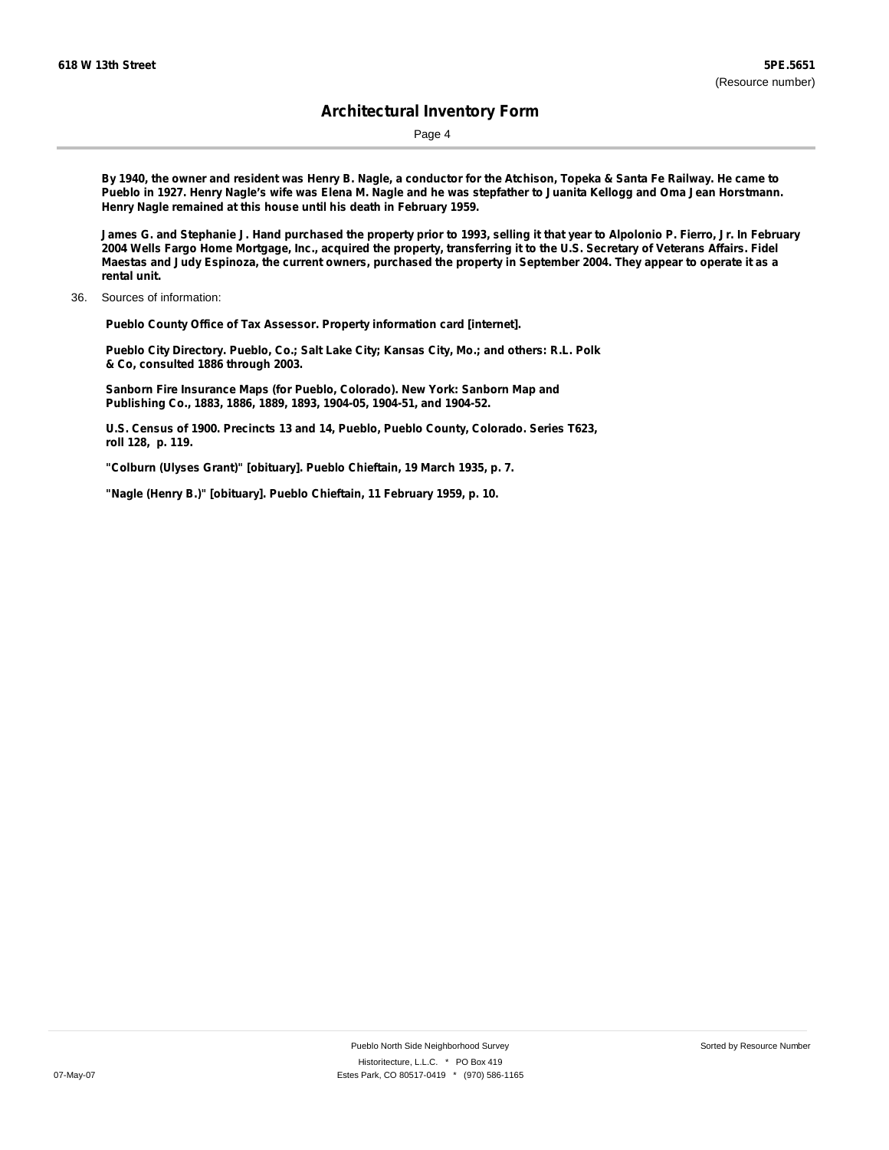Page 4

By 1940, the owner and resident was Henry B. Nagle, a conductor for the Atchison, Topeka & Santa Fe Railway. He came to Pueblo in 1927. Henry Nagle's wife was Elena M. Nagle and he was stepfather to Juanita Kellogg and Oma Jean Horstmann. **Henry Nagle remained at this house until his death in February 1959.**

James G. and Stephanie J. Hand purchased the property prior to 1993, selling it that year to Alpolonio P. Fierro, Jr. In February 2004 Wells Fargo Home Mortgage, Inc., acquired the property, transferring it to the U.S. Secretary of Veterans Affairs. Fidel Maestas and Judy Espinoza, the current owners, purchased the property in September 2004. They appear to operate it as a **rental unit.**

36. Sources of information:

**Pueblo County Office of Tax Assessor. Property information card [internet].**

**Pueblo City Directory. Pueblo, Co.; Salt Lake City; Kansas City, Mo.; and others: R.L. Polk & Co, consulted 1886 through 2003.**

**Sanborn Fire Insurance Maps (for Pueblo, Colorado). New York: Sanborn Map and Publishing Co., 1883, 1886, 1889, 1893, 1904-05, 1904-51, and 1904-52.**

**U.S. Census of 1900. Precincts 13 and 14, Pueblo, Pueblo County, Colorado. Series T623, roll 128, p. 119.**

**"Colburn (Ulyses Grant)" [obituary]. Pueblo Chieftain, 19 March 1935, p. 7.**

**"Nagle (Henry B.)" [obituary]. Pueblo Chieftain, 11 February 1959, p. 10.**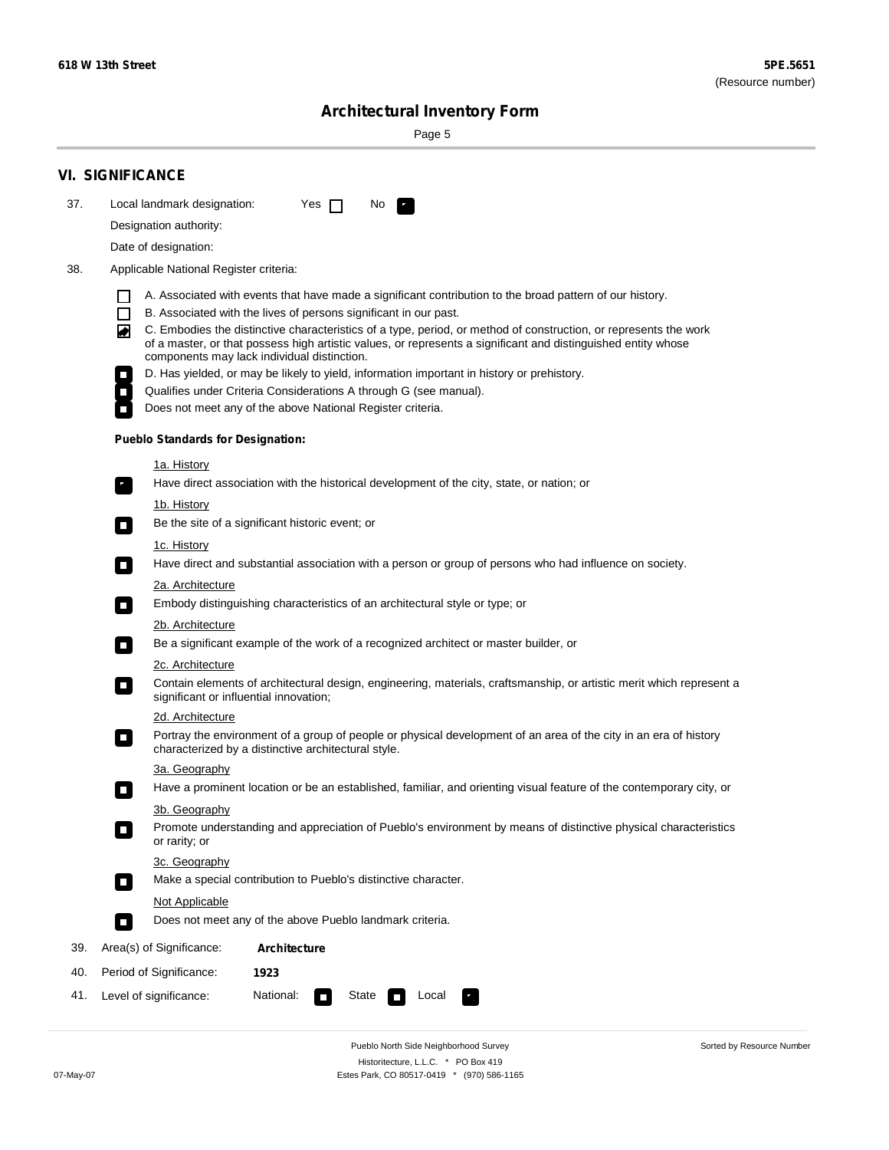$\sim$ 

Sorted by Resource Number

# **Architectural Inventory Form**

Page 5

|     | <b>VI. SIGNIFICANCE</b>                                                                                                                                                                                                                                                               |  |  |  |  |  |  |
|-----|---------------------------------------------------------------------------------------------------------------------------------------------------------------------------------------------------------------------------------------------------------------------------------------|--|--|--|--|--|--|
| 37. | Local landmark designation:<br>Yes $\Box$<br>No.<br>$\mathbf{F}$                                                                                                                                                                                                                      |  |  |  |  |  |  |
|     | Designation authority:                                                                                                                                                                                                                                                                |  |  |  |  |  |  |
|     | Date of designation:                                                                                                                                                                                                                                                                  |  |  |  |  |  |  |
| 38. | Applicable National Register criteria:                                                                                                                                                                                                                                                |  |  |  |  |  |  |
|     | A. Associated with events that have made a significant contribution to the broad pattern of our history.                                                                                                                                                                              |  |  |  |  |  |  |
|     | $\Box$<br>B. Associated with the lives of persons significant in our past.                                                                                                                                                                                                            |  |  |  |  |  |  |
|     | C. Embodies the distinctive characteristics of a type, period, or method of construction, or represents the work<br>◙<br>of a master, or that possess high artistic values, or represents a significant and distinguished entity whose<br>components may lack individual distinction. |  |  |  |  |  |  |
|     | D. Has yielded, or may be likely to yield, information important in history or prehistory.                                                                                                                                                                                            |  |  |  |  |  |  |
|     | Qualifies under Criteria Considerations A through G (see manual).                                                                                                                                                                                                                     |  |  |  |  |  |  |
|     | Does not meet any of the above National Register criteria.                                                                                                                                                                                                                            |  |  |  |  |  |  |
|     | <b>Pueblo Standards for Designation:</b>                                                                                                                                                                                                                                              |  |  |  |  |  |  |
|     | <u>1a. History</u>                                                                                                                                                                                                                                                                    |  |  |  |  |  |  |
|     | Have direct association with the historical development of the city, state, or nation; or<br>$\overline{\phantom{a}}$ .                                                                                                                                                               |  |  |  |  |  |  |
|     | <u>1b. History</u>                                                                                                                                                                                                                                                                    |  |  |  |  |  |  |
|     | Be the site of a significant historic event; or<br>$\Box$                                                                                                                                                                                                                             |  |  |  |  |  |  |
|     | 1c. History                                                                                                                                                                                                                                                                           |  |  |  |  |  |  |
|     | Have direct and substantial association with a person or group of persons who had influence on society.                                                                                                                                                                               |  |  |  |  |  |  |
|     | 2a. Architecture                                                                                                                                                                                                                                                                      |  |  |  |  |  |  |
|     | Embody distinguishing characteristics of an architectural style or type; or<br>$\Box$                                                                                                                                                                                                 |  |  |  |  |  |  |
|     | 2b. Architecture                                                                                                                                                                                                                                                                      |  |  |  |  |  |  |
|     | Be a significant example of the work of a recognized architect or master builder, or<br>$\mathcal{L}_{\mathcal{A}}$                                                                                                                                                                   |  |  |  |  |  |  |
|     | 2c. Architecture                                                                                                                                                                                                                                                                      |  |  |  |  |  |  |
|     | Contain elements of architectural design, engineering, materials, craftsmanship, or artistic merit which represent a<br>О<br>significant or influential innovation;                                                                                                                   |  |  |  |  |  |  |
|     | 2d. Architecture                                                                                                                                                                                                                                                                      |  |  |  |  |  |  |
|     | Portray the environment of a group of people or physical development of an area of the city in an era of history<br>О<br>characterized by a distinctive architectural style.                                                                                                          |  |  |  |  |  |  |
|     | 3a. Geography                                                                                                                                                                                                                                                                         |  |  |  |  |  |  |
|     | Have a prominent location or be an established, familiar, and orienting visual feature of the contemporary city, or                                                                                                                                                                   |  |  |  |  |  |  |
|     | 3b. Geography<br>Promote understanding and appreciation of Pueblo's environment by means of distinctive physical characteristics<br>or rarity; or                                                                                                                                     |  |  |  |  |  |  |
|     | 3c. Geography                                                                                                                                                                                                                                                                         |  |  |  |  |  |  |
|     | Make a special contribution to Pueblo's distinctive character.<br>$\Box$                                                                                                                                                                                                              |  |  |  |  |  |  |
|     | Not Applicable                                                                                                                                                                                                                                                                        |  |  |  |  |  |  |
|     | Does not meet any of the above Pueblo landmark criteria.<br>П                                                                                                                                                                                                                         |  |  |  |  |  |  |
| 39. | Area(s) of Significance:<br><b>Architecture</b>                                                                                                                                                                                                                                       |  |  |  |  |  |  |
| 40. | Period of Significance:<br>1923                                                                                                                                                                                                                                                       |  |  |  |  |  |  |
| 41. | National:<br>Level of significance:<br>Local<br>State<br>$\Box$                                                                                                                                                                                                                       |  |  |  |  |  |  |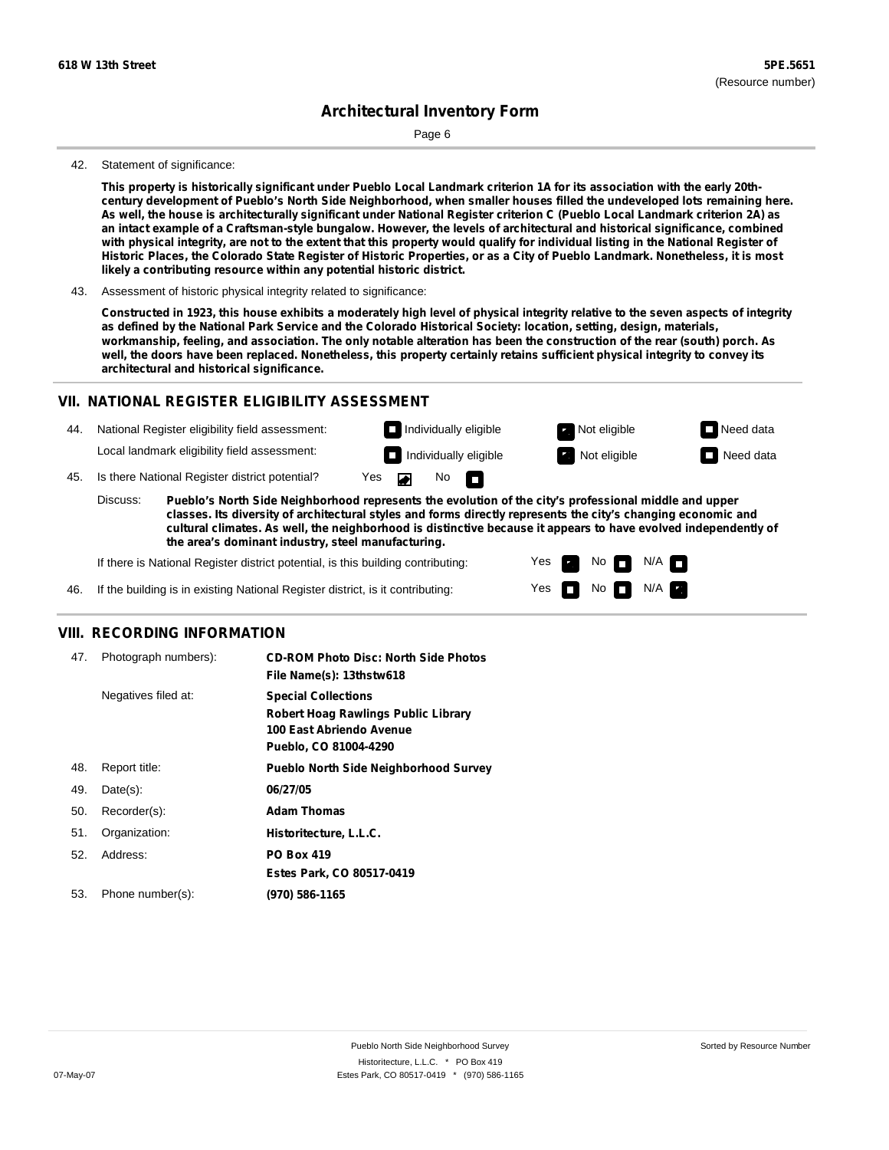Page 6

#### 42. Statement of significance:

This property is historically significant under Pueblo Local Landmark criterion 1A for its association with the early 20thcentury development of Pueblo's North Side Neighborhood, when smaller houses filled the undeveloped lots remaining here. As well, the house is architecturally significant under National Register criterion C (Pueblo Local Landmark criterion 2A) as an intact example of a Craftsman-style bungalow. However, the levels of architectural and historical significance, combined with physical integrity, are not to the extent that this property would qualify for individual listing in the National Register of Historic Places, the Colorado State Register of Historic Properties, or as a City of Pueblo Landmark. Nonetheless, it is most **likely a contributing resource within any potential historic district.**

43. Assessment of historic physical integrity related to significance:

Constructed in 1923, this house exhibits a moderately high level of physical integrity relative to the seven aspects of integrity as defined by the National Park Service and the Colorado Historical Society: location, setting, design, materials, workmanship, feeling, and association. The only notable alteration has been the construction of the rear (south) porch. As well, the doors have been replaced. Nonetheless, this property certainly retains sufficient physical integrity to convey its **architectural and historical significance.**

#### **VII. NATIONAL REGISTER ELIGIBILITY ASSESSMENT**

44. National Register eligibility field assessment: Local landmark eligibility field assessment:

**Individually eligible Not eligible Not eligible Need data** 

 $N$ o  $\Box$ 

No

 $No$   $N/A$ 

 $N/A$   $\Box$ 

Yes Yes

**Individually eligible Not eligible** Not eligible **Need data** 

45. Is there National Register district potential? Yes

**Pueblo's North Side Neighborhood represents the evolution of the city's professional middle and upper classes. Its diversity of architectural styles and forms directly represents the city's changing economic and cultural climates. As well, the neighborhood is distinctive because it appears to have evolved independently of the area's dominant industry, steel manufacturing.** Discuss:

 $\blacksquare$ 

If there is National Register district potential, is this building contributing:



### **VIII. RECORDING INFORMATION**

| 47. | Photograph numbers): | <b>CD-ROM Photo Disc: North Side Photos</b><br>File Name(s): 13thstw618                                                       |
|-----|----------------------|-------------------------------------------------------------------------------------------------------------------------------|
|     | Negatives filed at:  | <b>Special Collections</b><br><b>Robert Hoag Rawlings Public Library</b><br>100 East Abriendo Avenue<br>Pueblo, CO 81004-4290 |
| 48. | Report title:        | <b>Pueblo North Side Neighborhood Survey</b>                                                                                  |
| 49. | $Date(s)$ :          | 06/27/05                                                                                                                      |
| 50. | Recorder(s):         | <b>Adam Thomas</b>                                                                                                            |
| 51. | Organization:        | Historitecture, L.L.C.                                                                                                        |
| 52. | Address:             | <b>PO Box 419</b>                                                                                                             |
|     |                      | Estes Park, CO 80517-0419                                                                                                     |
| 53. | Phone number(s):     | (970) 586-1165                                                                                                                |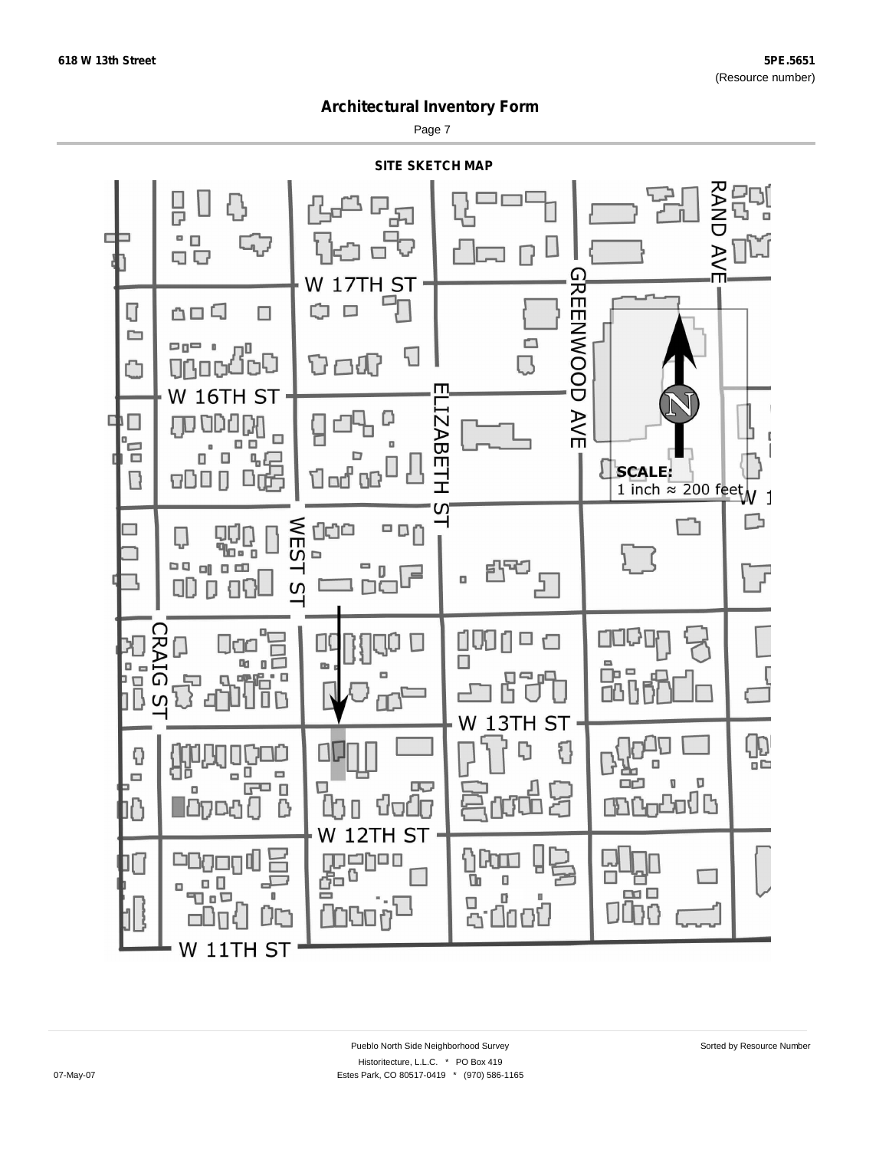Page 7